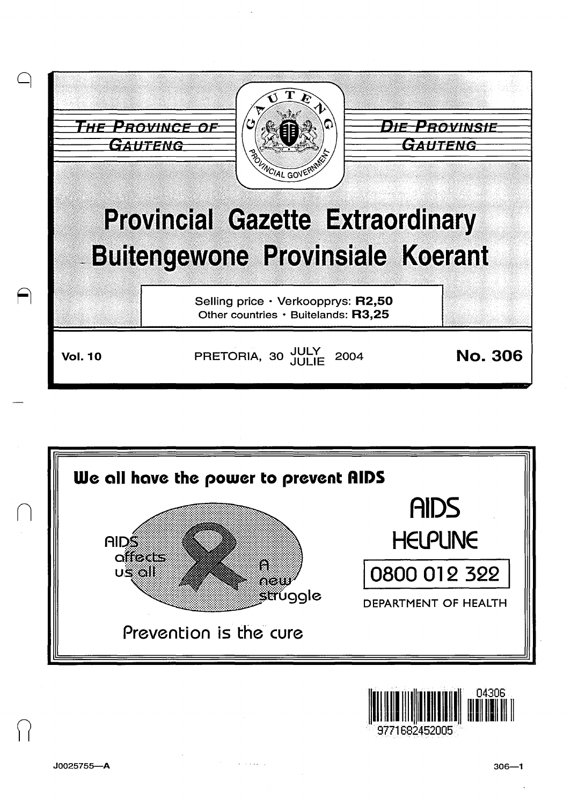



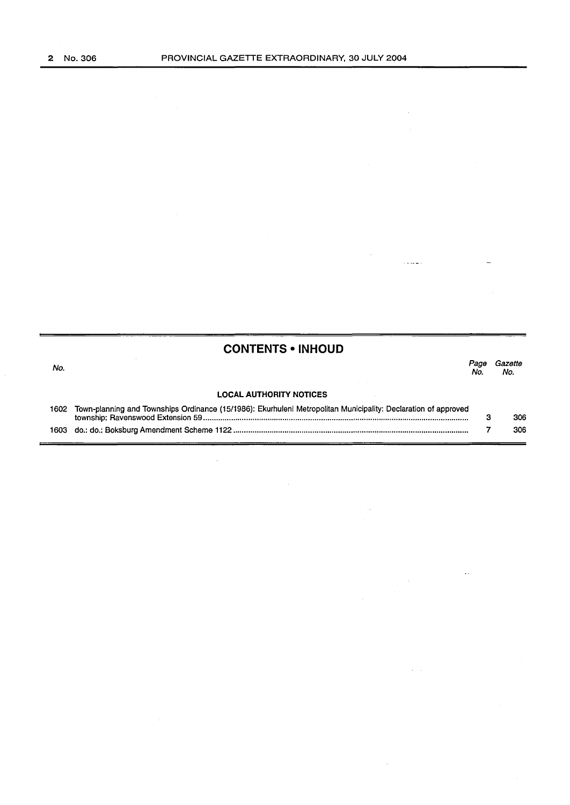$\mathcal{A}^{\mathcal{A}}$ 

 $\label{eq:1} \frac{1}{\sqrt{2}}\int_{0}^{\infty} \frac{1}{\sqrt{2}}\,e^{-\frac{1}{2}x} \frac{1}{\sqrt{2}}\,e^{-\frac{1}{2}x} \frac{1}{\sqrt{2}}\,e^{-\frac{1}{2}x} \frac{1}{\sqrt{2}}\,e^{-\frac{1}{2}x} \frac{1}{\sqrt{2}}\,e^{-\frac{1}{2}x} \frac{1}{\sqrt{2}}\,e^{-\frac{1}{2}x} \frac{1}{\sqrt{2}}\,e^{-\frac{1}{2}x} \frac{1}{\sqrt{2}}\,e^{-\frac{1}{2}x} \frac{1}{\sqrt{2$ 

 $\mathcal{A}^{\mathcal{A}}$ 

 $\sim 10$ 

 $\hat{V}$  ,  $\hat{V}$ 

 $\hat{\mathcal{A}}$ 

|      | <b>CONTENTS • INHOUD</b>                                                                                       |            |                |
|------|----------------------------------------------------------------------------------------------------------------|------------|----------------|
| No.  |                                                                                                                | Page<br>Nο | Gazette<br>No. |
|      | <b>LOCAL AUTHORITY NOTICES</b>                                                                                 |            |                |
| 1602 | Town-planning and Townships Ordinance (15/1986): Ekurhuleni Metropolitan Municipality: Declaration of approved | з          | 306            |
| 1603 |                                                                                                                |            | 306            |

 $\sim$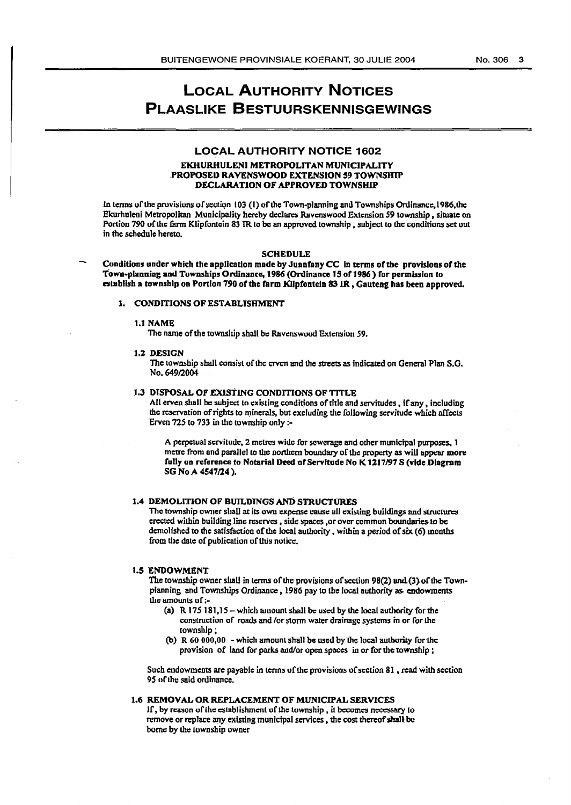# **LOCAL AUTHORITY NOTICES PLAASLIKE BESTUURSKENNISGEWINGS**

## **LOCAL AUTHORITY NOTICE 1602**

## EKHURHULENI METROPOLITAN MUNICIPALITY PROPOSED RAVENSWOOD EXTENSION 59 TOWNSHIP DECLARATION OF APPROVED TOWNSHIP

In terms of the provisions of section 103 (1) of the Town-planning and Townships Ordinance, 1986, the Ekurhuleni Metropolitan Municipality hereby declares Ravenswood Extension 59 township, situate on Portion 790 of the farm Klipfontein 83 IR to be an approved township, subject to the conditions set out in the schedule hereto.

#### **SCHEDULE**

Conditions under which the application made by Juanfany CC in terms of the provisions of the Town-planning and Townships Ordinance, 1986 (Ordinance 15 of 1986) for permission to establish a township on Portion 790 of the farm Klipfontein 83 IR, Gauteng has been approved.

#### 1. CONDITIONS OF ESTABLISHMENT

#### 1.1 NAME

The name of the township shall be Ravenswood Extension 59.

## 1.2 DESIGN

The township shall consist of the cryen and the streets as indicated on General Plan S.G. No. 649/2004

## 1.3 DISPOSAL OF EXISTING CONDITIONS OF TITLE

All erven shall be subject to existing conditions of title and servitudes, if any, including the reservation of rights to minerals, but excluding the following servitude which affects Erven 725 to 733 in the township only :-

A perpetual servitude, 2 metres wide for sewerage and other municipal purposes, 1 metre from and parallel to the northern boundary of the property as will appear more fully on reference to Notarial Deed of Servitude No K 1217/97 S (vide Diagram SG No A 4547/24).

### 1.4 DEMOLITION OF BUILDINGS AND STRUCTURES

The township owner shall at its own expense cause all existing buildings and structures erected within building line reserves, side spaces, or over common boundaries to be demolished to the satisfaction of the local authority, within a period of six  $(6)$  months from the date of publication of this notice,

## **1.5 ENDOWMENT**

The township owner shall in terms of the provisions of section 98(2) and (3) of the Townplanning and Townships Ordinance, 1986 pay to the local authority as endowments the amounts of :-

- (a)  $R$  175 181,15 which amount shall be used by the local authority for the construction of roads and /or storm water drainage systems in or for the township:
- (b) R  $60\,000,00$  which amount shall be used by the local authority for the provision of land for parks and/or open spaces in or for the township;

Such endowments are payable in terms of the provisions of section 81, read with section 95 of the said ordinance.

#### 1.6 REMOVAL OR REPLACEMENT OF MUNICIPAL SERVICES

If, by reason of the establishment of the township, it becomes necessary to remove or replace any existing municipal services, the cost thereof shall be bome by the township owner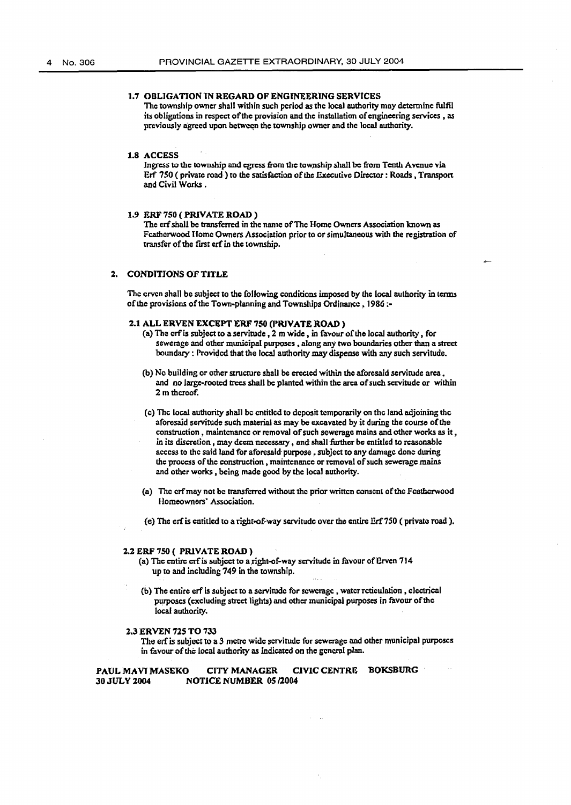## 1.7 OBLIGATION IN REGARD OF ENGINEERING SERVICES

The township owner shall within such period as the local authority may determine fulfil its obligations in respect of the provision and the installation of engineering services, as previously agreed upon between the township owner and the local authority.

#### 1.8 ACCESS

Ingress to the township and egress from the township shall be from Tenth Avenue via Erf 750 ( privare road·) to the satisfaction of the Executive Director: Roads, Transport and Civil Works.

## 1.9 ERF 750 (PRIVATE ROAD)

The crf shall be transferred in the name of The Home Owners Association known as Fcathcrwood Home Owners Association prior to or simultaneous with the registration of transfer of the first erf in the township.

# 2. CONDITIONS OF TITLE

The crven shall be subject to the following conditions imposed by the local authority in terms of the provisions of the Town-planning and Townships Ordinance, 1986 ;-

## 2.1 ALL ERVEN EXCEPT ERF 750 (PRIVATE ROAD)

- (a) The crf is subject to a servitude,  $2 \text{ m}$  wide, in favour of the local authority, for sewerasc and other municipal purposes , along any two boundaries other than a street boundary : Provided that the local authority may dispense with any such servitude.
- (b) No building or other structure shall be erected within the aforesaid servitude area, and no large-rooted trees shall be planted within the area of such servitude or within 2 m thcroof.
- (c) The local authority shall be entitled to deposit temporarily on the land adjoining the aforesaid servitude such material as may be excavated by it during the course of the construction, maintenance or removal of such sewerage mains and other works as it, in its discretion, may deem necessary, and shall further be entitled to reasonable access to the said land for aforesaid purpose, subject to any damage done during the process of the construction, maintenance or removal of such sewerage mains and other works , being made good by the local authority.
- (a) The crf may not be transferred without the prior written consent of the Featherwood Homeowners' Association.
- (e) The erf is entitled to a right-of-way servitude over the entire Erf 750 (private road).

## 2.2 ERF 750 ( PRIVATE ROAD)

- (a) The entire crf is subject to a right-of-way servitude in favour of Erven 714 up to and including 749 in the township.
- (b) The entire erf is subject to a servitude for sewerage, water reticulation, clectrical purposes (excluding street lights) and other municipal purposes in favour of the local authority.

#### 2.3 ERVEN 725 TO 733

The erf is subject to a 3 metre wide servitude for sewerage and other municipal purposes in favour of the local authority as indicated on the general plan.

## PAUL MAVI MASEKO CITY MANAGER CIVIC CENTRE BOKSBURG 30 JULY 2004 NOTICE NUMBER 05/2004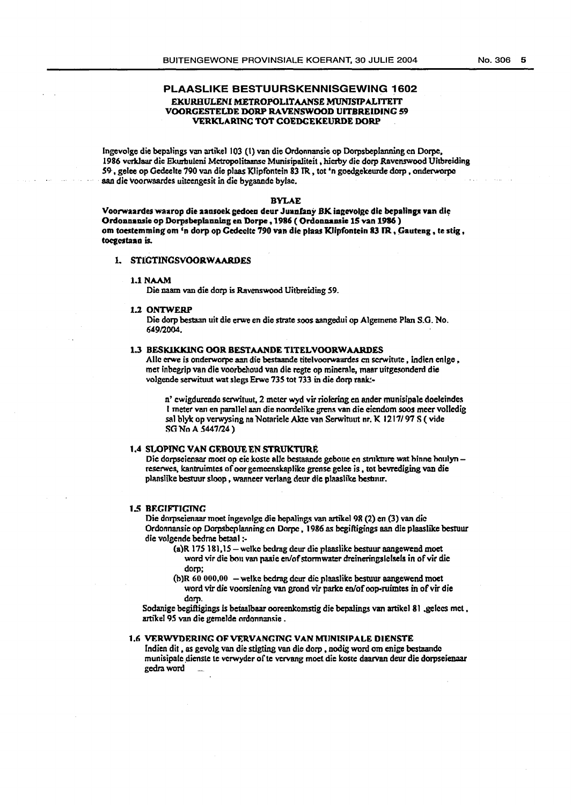## PLAASLIKE BESTUURSKENNISGEWING 1602 EKURHULENI METROPOLITAANSE MUNISIPALITEIT VOORGESTELDE DORP RAVENSWOOD UITBREIDINC 59 VERKLARING TOT GOEDGEKEURDE DORP

lngevolge die bepalings van artikel I 03 (1) van die Ordonnansie op Dorpsbeplanning en Dorpe, 1986 vcrk.laar die Ekurbulcni Mctropolitaansc Munisipaliteit , hicrby die dorp Ravenswood Uitbreiding 59·, gelee op Oedeelte 790 van die plaas 'Kiipfontein 83 TR, tot 'n goedgekeurde dorp , onderworpc aan die voorwaardes uiteengesit in die bygaande bylae.

#### BYLAE

Voorwaardes waarop die aansoek gedoen deur Juanfany BK ingevolge die bepalings van die Ordonnansie op Dorpsbeplanning en Dorpe, 1986 ( Ordonnansie 15 van 1986) om toestemming om <sup>2</sup>n dorp op Gedeclte 790 van die plaas Klipfontein 83 IR, Gauteng, te stig, toegestaan is.

## 1. STIGTINGSVOORWAARDES

#### l.lNAAM

Die naam van die dorp is Ravenswood Uitbreidiog 59.

#### 1.2 ONTWERP

Die dorp bestaan uit die erwe en die strate soos aangedui op Algemene Plan S.G. No. 64912004.

#### 1.3 BESKIKKING OOR BESTAANDE TITELVOORWAARDES

Aile erwe is onderworpe aan die bestaande titelvoorwaardes en scrwitute, indien enlge. met inbegrip van die voorbehoud van die regte op minerale, maar uitgesonderd die volgende serwituut wat slegs Erwe 735 tot 733 in die dorp raak:-

n' ewigdurende serwituut, 2 meter wyd vir riolering en ander munisipale doeleindes I meter van en parallel aan die noordelike grens van die eiendom soos meer volledig sal blyk op verwysing na Notariele Akte van Serwituut nr. K 1217/97 S (vide SG No A 5447/24)

## 1.4 SLOPINC VAN GEROUE EN STRUKTURE

Die dorpseienaar moet op eie koste alle bestaande geboue en strukture wat hinne houlynreserwes. kantruimtes of oor gemeenskaplike grense gelee is, tot bevrediging van die planslike bestuur sloop, wanneer verlang deur die plaaslike bestuur.

## 1.5 RF.GIF71GING

Die dorpseienaar moet ingevolge die hepalings van artikel 98 (2) en (3) van die Ordonnansie op Dorpsbeplanning en Dorpe, 1986 as begiftigings aan die plaaslike bestuur die volgende bedrne betaal :·

- (a)R 175 181,15 wclke bedrag dcur die plaaslike besruur aangewend moet word vir die bou van paaie en/of stormwater dreineringslelsels in of vir die dorp;
- (b)R 60 000,00 welke bcdrag dcur die plaaslike besruur aangewend moet word vir clie voorsiening van grond vir parke en/of oop-ruimtes in of *vir* die dom

Sodanige begiftigings is beiaalbaar ooreenkomstig die bepalings van artikel 81 .gelccs met , artikel 95 van die gemelde ordonnansie .

### 1.6 VERWYDERING OF VERVANGING VAN MUNISIPALE DIENSTE

Indien dit, as gevolg van die stigting van die dorp, nodig word om enige bestaande munisipale dienste te verwyder of te vervang moet die koste daarvan deur die dorpseienaar gedra word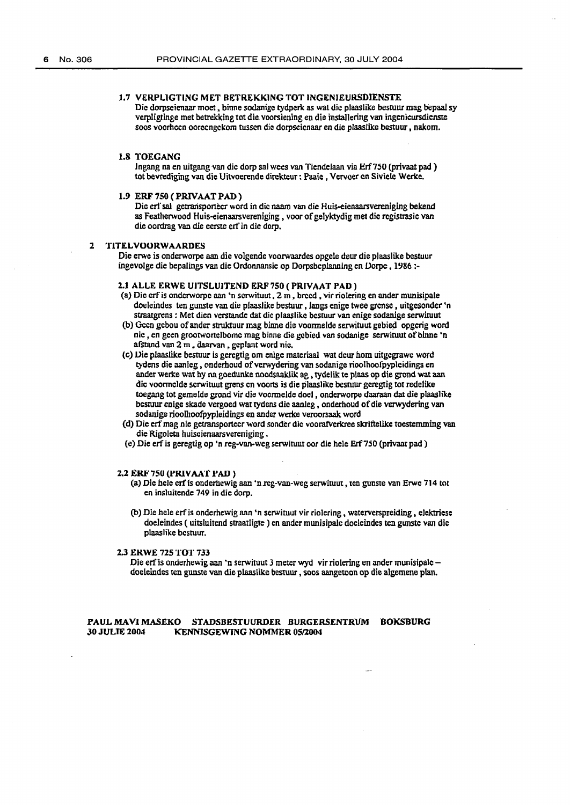## 1.7 VERPLIGTING MET BETREKKING TOT INGENIEURSDIENSTE

Die dorpseienaar moet , binne sodanige tydpcrk as waL die plaaslike besruur mag bepaal sy verpligtinge met betrekking tot die. voorsiening en die installering van ingenieursdienste soos voorhoen ooreengekom russcn die dorpseienaar en die plaaslike bestuur, nakom.

## 1.8 TOEGANG

Ingang na en uitgang van die dorp sal wees van Tiendelaan via Erf750 (privaat pad) tot bevrediging van die Uitvoerende direkteur: Paaie, Vervoer en Siviele Werke.

## 1.9 ERF750(PRIVAATPAD)

Die erl sal getransporteer word in die naam van die Huis-eienaarsvereniging bekend as Featherwood Huis-eienaarsvereniging, voor of gelyktydig met die registrasie van die oordmg van die eerste ert' in die dorp.

# 2 "l"ITELVOORWAARDES

Die erwe is onderworpe aan die volgende voorwaardes opgele deur die plaaslike bcstuur ingevolge die bepalings van die Ordonnansie op Dorpsbeplanning en Dorpe, 1986 :-

## 2.1 ALLE ERWE UITSLUITEND ERF 750 (PRIVAAT PAD)

- (a) Die erf is onderworpe aan 'n serwituut,  $2m$ , breed, vir riolering en ander munisipale doeleindes ten gunste van die plaaslike bestuur, fangs enige twee grcnsc , uitgcsonder 'n straatgrens : Met dien verstande dat die plaaslike bestuur van enige sodanige serwituut
- (b) Geen gebou of ander struktuur mag binne die voormelde serwituut gebied opgcrig word nie, en geen groorwortclbomc mag binne die gebicd van sodanige serwiruut ofbinne 'n afstand van 2 m., daarvan, geplant word nie.
- (c) JJie plaaslike bestuur is geregtig om enige materiaaJ wat deur hom uitgegrawe word tydens die aanleg, onderhoud of verwydering van sodanige rioolhoofpypleidings en ander werke wat hy na goedunke noodsaaklik ag , tydelik te plaas op die grond wat aan die voormeldc scrwituut grens en voorts is die plaaslikc besruur geregtig tot redelike toegang tot gemelde grond vir die voormelde doel , onderworpe daaraan dat die plaaslike bestuur enige skade vergoed wat tydens die aanleg, onderhoud of die verwydering van sodanige rioollioofpypleidings en ander werke veroorsaak word
- (d) Die erfmag nie getransportecr word sonder die voorafverkree skriftelike toestemming van die Rigoleta huiseienaarsvereniging .
- (e) Die erf is geregtig op 'n reg-van-weg serwiruut oor die hele Erf7.50 (privant pad)

#### 2.2 ERF 750 (PRIVAAT PAD)

- (a) Die hele erfis onderhewig aan ·n.reg-van-weg serwiruut, ten gunste van Erwc 714 tot en insluitende 749 in die dorp.
- (b) Die hele ert' is onderhewig aan 'n serwituut vir riolering, waterverspreiding, elektriese doeleindes ( uitsluitend straatligte ) en ander munisipale doeleindes ten gunste van die plaaslike bcsruur.

#### 2.3 ERWE 725 TOT 733

Die erf is onderhewig aan 'n serwituut 3 meter wyd vir riolering en ander munisipale doeleindes ten gunste van die plaaslike bestuur , soos aangetoon op die algemene plan.

## PAUL MAVI MASEKO STADSBESTUURDER BURGERSENTRUM BOKSBURG<br>30 JULIE 2004 – KENNISGEWING NOMMER 05/2004 KENNISGEWING NOMMER 05/2004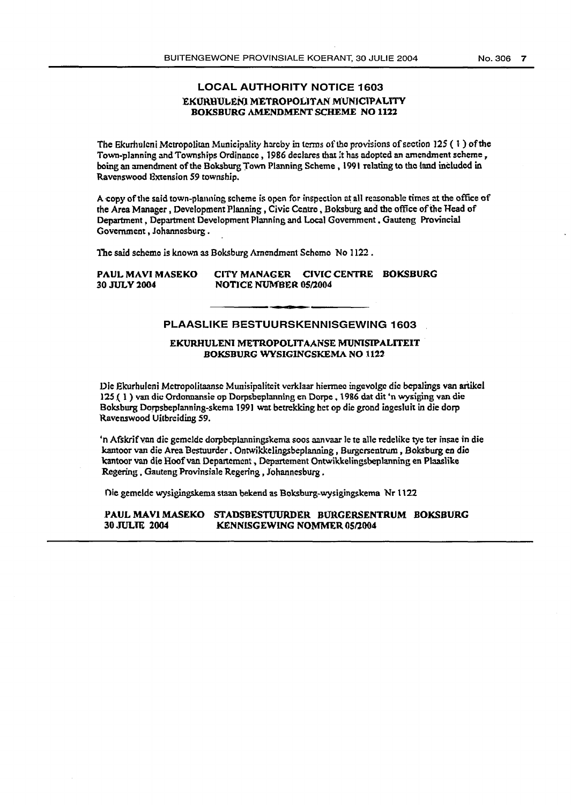# LOCAL AUTHORITY NOTICE 1603 EKURHULENI METROPOLITAN MUNICIPALITY BOKSBURG AMENDMENT SCHEME NO 1122

The Ekurhulcni Metropolitan Municipality hareby in terms of the provisions of section 125 ( $\frac{1}{2}$ ) of the Town-planning and Townships Ordinance, 1986 declares that it has adopted an amendment scheme, being an amendment of the Boksburg Town Planning Scheme, 1991 relating to tho land included in Ravenswood Bxtension *59* township.

A copy of the said town-planning scheme is open for inspection at all reasonable times at the office of the Area Manager , Development Planning , Civic Centro , Boksburg and the office ofthe Head of Department, Department Development Planning and Local Government, Gauteng Provincial Government, Johannesburg .

The said schemo is known as Boksburg Amendment Schomo No 1122.

# PAUL MAVI MASEKO CITY MANAGER CIVIC CENTRE BOKSBURG **30 JULY 2004 NOTICE NUMBER 05/2004**

# PLAASLIKE BESTUURSKENNISGEWING 1603

# EKURHULENI METROPOLITAANSE MUNISIPALITEIT BOKSBURG WYSIGINGSKEMA NO 1122

Die Ekurhuleni Metropolitaanse Munisipaliteit verklaar hiermee ingevolge die bepalings van artikel 125 (1) van die Ordonnansie op Dorpsbeplanning en Dorpe, 1986 dat dit 'n wysiging van die Boksburg Dorpsbeplanning-skema 1991 wat betrekking het op die grond ingesluit in die dorp 'Ravenswood Uitbreiding 59.

'n Afskrif van die gemelde dorpbeplanningskema soos aanvaar le te alle redelike tye ter insae in die kantoor van die Area Bestuurder • Ontwikkelingsbeplanning , Burgcrsentrum , Boksburg en die 'kantoor van die Hoof van Departemcnt, Departement Ontwik.kelingsbeplanning en Plaaslike Regering , Gauteng Provinsiale Regering , Johannesburg .

Die gemelde wysigingskema staan bekend as Boksburg-wysigingskema Nr 1122

## PAUL MAVI MASEKO STADSBESTUURDER BURGERSENTRUM BOKSBURG 30 JULIE 2004 KENNISGEWING NOMMER 05/2004